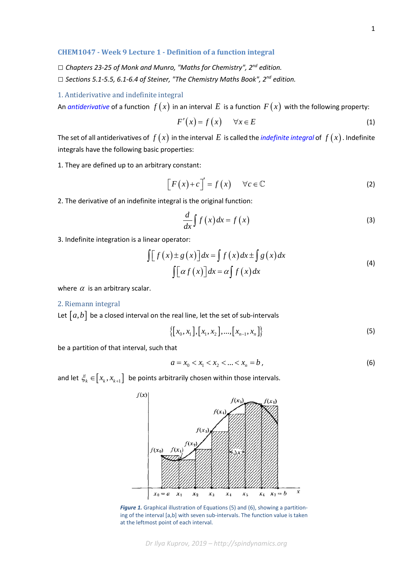## **CHEM1047 - Week 9 Lecture 1 - Definition of a function integral**

- *□ Chapters 23-25 of Monk and Munro, "Maths for Chemistry", 2nd edition.*
- *□ Sections 5.1-5.5, 6.1-6.4 of Steiner, "The Chemistry Maths Book", 2nd edition.*

## 1. Antiderivative and indefinite integral

An *[antiderivative](https://en.wikipedia.org/wiki/Antiderivative)* of a function  $f(x)$  in an interval E is a function  $F(x)$  with the following property:

$$
F'(x) = f(x) \qquad \forall x \in E \tag{1}
$$

The set of all antiderivatives of  $f(x)$  in the interval E is called the *[indefinite integral](https://en.wikipedia.org/wiki/Integral)* of  $f(x)$ . Indefinite integrals have the following basic properties:

1. They are defined up to an arbitrary constant:

$$
\[F(x) + c\]' = f(x) \quad \forall c \in \mathbb{C} \tag{2}
$$

2. The derivative of an indefinite integral is the original function:

$$
\frac{d}{dx}\int f(x)dx = f(x)
$$
\n(3)

3. Indefinite integration is a linear operator:

$$
\int [f(x) \pm g(x)] dx = \int f(x) dx \pm \int g(x) dx
$$
  

$$
\int [ \alpha f(x) ] dx = \alpha \int f(x) dx
$$
 (4)

where  $\alpha$  is an arbitrary scalar.

## 2. Riemann integral

Let  $[a,b]$  be a closed interval on the real line, let the set of sub-intervals

$$
\{ [x_0, x_1], [x_1, x_2], ..., [x_{n-1}, x_n] \}
$$
\n(5)

be a partition of that interval, such that

$$
a = x_0 < x_1 < x_2 < \dots < x_n = b \tag{6}
$$

and let  $\xi_k \in [x_k, x_{k+1}]$  be points arbitrarily chosen within those intervals.



*Figure 1.* Graphical illustration of Equations (5) and (6), showing a partitioning of the interval [a,b] with seven sub-intervals. The function value is taken at the leftmost point of each interval.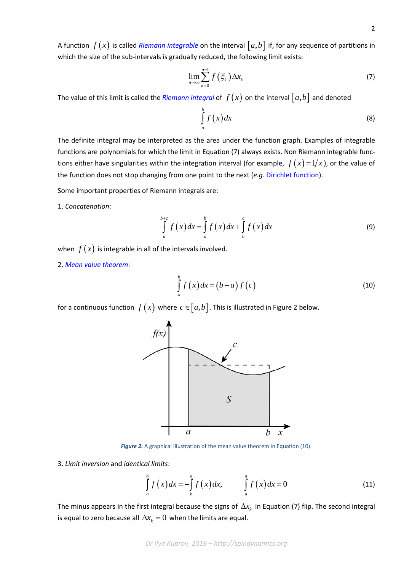A function  $f(x)$  is called *[Riemann integrable](https://en.wikipedia.org/wiki/Riemann_integral#Riemann-integrable)* on the interval  $[a,b]$  if, for any sequence of partitions in which the size of the sub-intervals is gradually reduced, the following limit exists:

$$
\lim_{n\to\infty}\sum_{k=0}^{n-1}f\left(\xi_k\right)\Delta x_k\tag{7}
$$

The value of this limit is called the *[Riemann integral](https://en.wikipedia.org/wiki/Riemann_integral)* of  $f(x)$  on the interval  $[a,b]$  and denoted

$$
\int_{a}^{b} f(x) dx
$$
 (8)

The definite integral may be interpreted as the area under the function graph. Examples of integrable functions are polynomials for which the limit in Equation (7) always exists. Non Riemann integrable functions either have singularities within the integration interval (for example,  $f(x) = 1/x$ ), or the value of the function does not stop changing from one point to the next (*e.g.* [Dirichlet function\)](https://en.wikipedia.org/wiki/Nowhere_continuous_function).

Some important properties of Riemann integrals are:

1. *Concatenation*:

$$
\int_{a}^{b+c} f(x) dx = \int_{a}^{b} f(x) dx + \int_{b}^{c} f(x) dx
$$
\n(9)

when  $f(x)$  is integrable in all of the intervals involved.

2. *[Mean value theorem](https://en.wikipedia.org/wiki/Mean_value_theorem)*:

$$
\int_{a}^{b} f(x) dx = (b-a) f(c)
$$
\n(10)

for a continuous function  $f(x)$  where  $c \in [a, b]$ . This is illustrated in Figure 2 below.



*Figure 2.* A graphical illustration of the mean value theorem in Equation (10).

3. *Limit inversion* and *identical limits*:

$$
\int_{a}^{b} f(x) dx = -\int_{b}^{a} f(x) dx, \qquad \int_{a}^{a} f(x) dx = 0
$$
\n(11)

The minus appears in the first integral because the signs of  $\Delta x_k$  in Equation (7) flip. The second integral is equal to zero because all  $\Delta x_{\boldsymbol{k}} = 0\,$  when the limits are equal.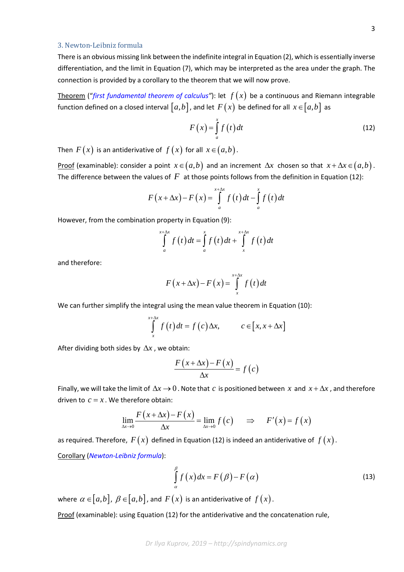## 3. Newton-Leibniz formula

There is an obvious missing link between the indefinite integral in Equation (2), which is essentially inverse differentiation, and the limit in Equation (7), which may be interpreted as the area under the graph. The connection is provided by a corollary to the theorem that we will now prove.

Theorem ("[first fundamental theorem of calculus"](https://en.wikipedia.org/wiki/Fundamental_theorem_of_calculus#First_part)): let  $f(x)$  be a continuous and Riemann integrable function defined on a closed interval  $[a, b]$ , and let  $F(x)$  be defined for all  $x \in [a, b]$  as

$$
F(x) = \int_{a}^{x} f(t) dt
$$
 (12)

Then  $F(x)$  is an antiderivative of  $f(x)$  for all  $x \in (a, b)$ .

Proof (examinable): consider a point  $x \in (a, b)$  and an increment  $\Delta x$  chosen so that  $x + \Delta x \in (a, b)$ . The difference between the values of  $F$  at those points follows from the definition in Equation (12):

$$
F(x+\Delta x)-F(x)=\int_{a}^{x+\Delta x}f(t)dt-\int_{a}^{x}f(t)dt
$$

However, from the combination property in Equation (9):

$$
\int_{a}^{x+\Delta x} f(t) dt = \int_{a}^{x} f(t) dt + \int_{x}^{x+\Delta x} f(t) dt
$$

and therefore:

$$
F(x+\Delta x)-F(x)=\int_{x}^{x+\Delta x}f(t)dt
$$

We can further simplify the integral using the mean value theorem in Equation (10):

$$
\int_{x}^{x+\Delta x} f(t) dt = f(c) \Delta x, \qquad c \in [x, x + \Delta x]
$$

After dividing both sides by ∆*x* , we obtain:

$$
\frac{F(x + \Delta x) - F(x)}{\Delta x} = f(c)
$$

Finally, we will take the limit of  $\Delta x \to 0$ . Note that *c* is positioned between *x* and  $x + \Delta x$ , and therefore driven to  $c = x$ . We therefore obtain:

$$
\lim_{\Delta x \to 0} \frac{F(x + \Delta x) - F(x)}{\Delta x} = \lim_{\Delta x \to 0} f(c) \implies F'(x) = f(x)
$$

as required. Therefore,  $F(x)$  defined in Equation (12) is indeed an antiderivative of  $f(x)$ . Corollary (*[Newton-Leibniz formula](https://en.wikipedia.org/wiki/Fundamental_theorem_of_calculus#Corollary)*):

$$
\int_{\alpha}^{\beta} f(x) dx = F(\beta) - F(\alpha)
$$
\n(13)

where  $\alpha \in [a,b]$ ,  $\beta \in [a,b]$ , and  $F(x)$  is an antiderivative of  $f(x)$ . Proof (examinable): using Equation (12) for the antiderivative and the concatenation rule,